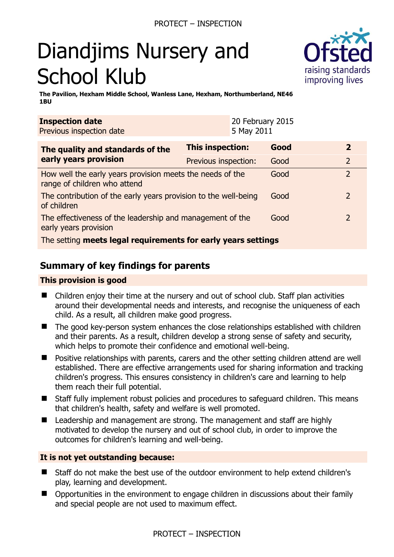# Diandjims Nursery and School Klub



**The Pavilion, Hexham Middle School, Wanless Lane, Hexham, Northumberland, NE46 1BU** 

| <b>Inspection date</b><br>Previous inspection date                                        |                      | 20 February 2015<br>5 May 2011 |      |                |
|-------------------------------------------------------------------------------------------|----------------------|--------------------------------|------|----------------|
| The quality and standards of the<br>early years provision                                 | This inspection:     |                                | Good | $\overline{2}$ |
|                                                                                           | Previous inspection: |                                | Good | $\overline{2}$ |
| How well the early years provision meets the needs of the<br>range of children who attend |                      |                                | Good | $\overline{2}$ |
| The contribution of the early years provision to the well-being<br>of children            |                      |                                | Good | $\overline{2}$ |
| The effectiveness of the leadership and management of the<br>early years provision        |                      |                                | Good | $\overline{2}$ |
| The setting meets legal requirements for early years settings                             |                      |                                |      |                |

# **Summary of key findings for parents**

## **This provision is good**

- Children enjoy their time at the nursery and out of school club. Staff plan activities around their developmental needs and interests, and recognise the uniqueness of each child. As a result, all children make good progress.
- The good key-person system enhances the close relationships established with children and their parents. As a result, children develop a strong sense of safety and security, which helps to promote their confidence and emotional well-being.
- Positive relationships with parents, carers and the other setting children attend are well established. There are effective arrangements used for sharing information and tracking children's progress. This ensures consistency in children's care and learning to help them reach their full potential.
- Staff fully implement robust policies and procedures to safeguard children. This means that children's health, safety and welfare is well promoted.
- Leadership and management are strong. The management and staff are highly motivated to develop the nursery and out of school club, in order to improve the outcomes for children's learning and well-being.

## **It is not yet outstanding because:**

- Staff do not make the best use of the outdoor environment to help extend children's play, learning and development.
- Opportunities in the environment to engage children in discussions about their family and special people are not used to maximum effect.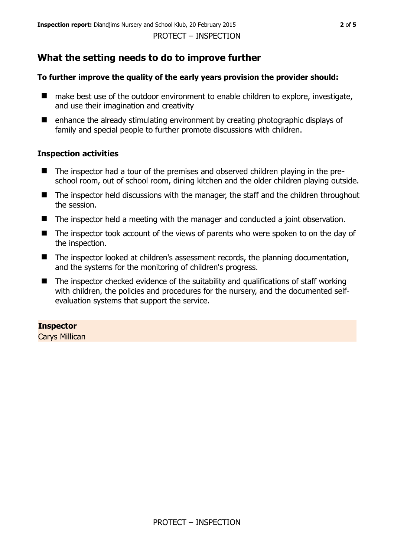# **What the setting needs to do to improve further**

# **To further improve the quality of the early years provision the provider should:**

- make best use of the outdoor environment to enable children to explore, investigate, and use their imagination and creativity
- enhance the already stimulating environment by creating photographic displays of family and special people to further promote discussions with children.

# **Inspection activities**

- The inspector had a tour of the premises and observed children playing in the preschool room, out of school room, dining kitchen and the older children playing outside.
- The inspector held discussions with the manager, the staff and the children throughout the session.
- The inspector held a meeting with the manager and conducted a joint observation.
- The inspector took account of the views of parents who were spoken to on the day of the inspection.
- The inspector looked at children's assessment records, the planning documentation, and the systems for the monitoring of children's progress.
- $\blacksquare$  The inspector checked evidence of the suitability and qualifications of staff working with children, the policies and procedures for the nursery, and the documented selfevaluation systems that support the service.

# **Inspector**

Carys Millican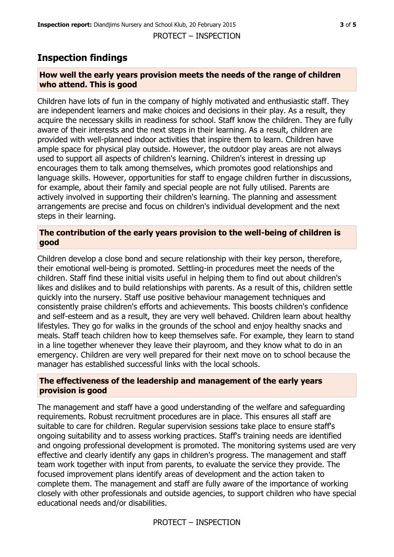PROTECT – INSPECTION

# **Inspection findings**

## **How well the early years provision meets the needs of the range of children who attend. This is good**

Children have lots of fun in the company of highly motivated and enthusiastic staff. They are independent learners and make choices and decisions in their play. As a result, they acquire the necessary skills in readiness for school. Staff know the children. They are fully aware of their interests and the next steps in their learning. As a result, children are provided with well-planned indoor activities that inspire them to learn. Children have ample space for physical play outside. However, the outdoor play areas are not always used to support all aspects of children's learning. Children's interest in dressing up encourages them to talk among themselves, which promotes good relationships and language skills. However, opportunities for staff to engage children further in discussions, for example, about their family and special people are not fully utilised. Parents are actively involved in supporting their children's learning. The planning and assessment arrangements are precise and focus on children's individual development and the next steps in their learning.

## **The contribution of the early years provision to the well-being of children is good**

Children develop a close bond and secure relationship with their key person, therefore, their emotional well-being is promoted. Settling-in procedures meet the needs of the children. Staff find these initial visits useful in helping them to find out about children's likes and dislikes and to build relationships with parents. As a result of this, children settle quickly into the nursery. Staff use positive behaviour management techniques and consistently praise children's efforts and achievements. This boosts children's confidence and self-esteem and as a result, they are very well behaved. Children learn about healthy lifestyles. They go for walks in the grounds of the school and enjoy healthy snacks and meals. Staff teach children how to keep themselves safe. For example, they learn to stand in a line together whenever they leave their playroom, and they know what to do in an emergency. Children are very well prepared for their next move on to school because the manager has established successful links with the local schools.

## **The effectiveness of the leadership and management of the early years provision is good**

The management and staff have a good understanding of the welfare and safeguarding requirements. Robust recruitment procedures are in place. This ensures all staff are suitable to care for children. Regular supervision sessions take place to ensure staff's ongoing suitability and to assess working practices. Staff's training needs are identified and ongoing professional development is promoted. The monitoring systems used are very effective and clearly identify any gaps in children's progress. The management and staff team work together with input from parents, to evaluate the service they provide. The focused improvement plans identify areas of development and the action taken to complete them. The management and staff are fully aware of the importance of working closely with other professionals and outside agencies, to support children who have special educational needs and/or disabilities.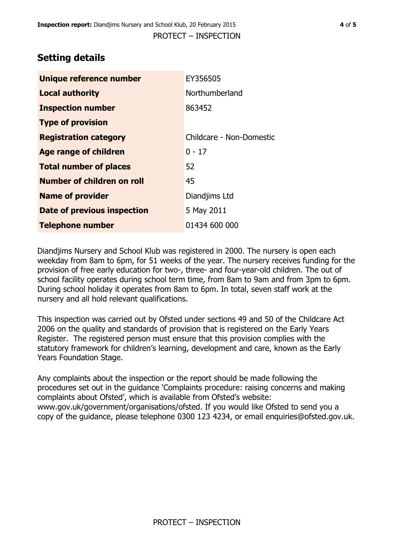# **Setting details**

| Unique reference number       | EY356505                 |  |
|-------------------------------|--------------------------|--|
| <b>Local authority</b>        | Northumberland           |  |
| <b>Inspection number</b>      | 863452                   |  |
| <b>Type of provision</b>      |                          |  |
| <b>Registration category</b>  | Childcare - Non-Domestic |  |
| <b>Age range of children</b>  | $0 - 17$                 |  |
| <b>Total number of places</b> | 52                       |  |
| Number of children on roll    | 45                       |  |
| <b>Name of provider</b>       | Diandjims Ltd            |  |
| Date of previous inspection   | 5 May 2011               |  |
| <b>Telephone number</b>       | 01434 600 000            |  |

Diandjims Nursery and School Klub was registered in 2000. The nursery is open each weekday from 8am to 6pm, for 51 weeks of the year. The nursery receives funding for the provision of free early education for two-, three- and four-year-old children. The out of school facility operates during school term time, from 8am to 9am and from 3pm to 6pm. During school holiday it operates from 8am to 6pm. In total, seven staff work at the nursery and all hold relevant qualifications.

This inspection was carried out by Ofsted under sections 49 and 50 of the Childcare Act 2006 on the quality and standards of provision that is registered on the Early Years Register. The registered person must ensure that this provision complies with the statutory framework for children's learning, development and care, known as the Early Years Foundation Stage.

Any complaints about the inspection or the report should be made following the procedures set out in the guidance 'Complaints procedure: raising concerns and making complaints about Ofsted', which is available from Ofsted's website: www.gov.uk/government/organisations/ofsted. If you would like Ofsted to send you a copy of the guidance, please telephone 0300 123 4234, or email enquiries@ofsted.gov.uk.